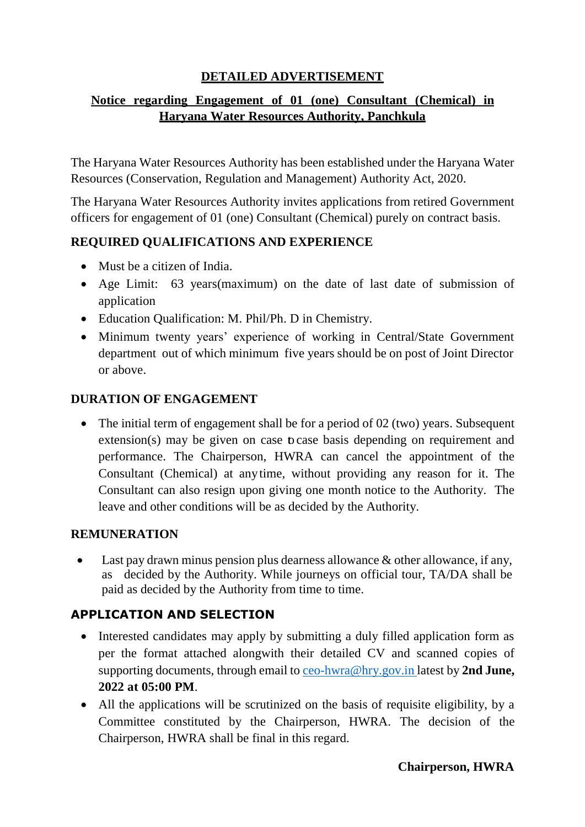#### **DETAILED ADVERTISEMENT**

#### **Notice regarding Engagement of 01 (one) Consultant (Chemical) in Haryana Water Resources Authority, Panchkula**

The Haryana Water Resources Authority has been established under the Haryana Water Resources (Conservation, Regulation and Management) Authority Act, 2020.

The Haryana Water Resources Authority invites applications from retired Government officers for engagement of 01 (one) Consultant (Chemical) purely on contract basis.

#### **REQUIRED QUALIFICATIONS AND EXPERIENCE**

- Must be a citizen of India.
- Age Limit: 63 years(maximum) on the date of last date of submission of application
- Education Qualification: M. Phil/Ph. D in Chemistry.
- Minimum twenty years' experience of working in Central/State Government department out of which minimum five years should be on post of Joint Director or above.

#### **DURATION OF ENGAGEMENT**

• The initial term of engagement shall be for a period of 02 (two) years. Subsequent extension(s) may be given on case to case basis depending on requirement and performance. The Chairperson, HWRA can cancel the appointment of the Consultant (Chemical) at anytime, without providing any reason for it. The Consultant can also resign upon giving one month notice to the Authority. The leave and other conditions will be as decided by the Authority.

#### **REMUNERATION**

 Last pay drawn minus pension plus dearness allowance & other allowance, if any, as decided by the Authority. While journeys on official tour, TA/DA shall be paid as decided by the Authority from time to time.

### **APPLICATION AND SELECTION**

- Interested candidates may apply by submitting a duly filled application form as per the format attached alongwith their detailed CV and scanned copies of supporting documents, through email to [ceo-hwra@hry.gov.in](mailto:ceo-hwra@hry.gov.in) latest by **2nd June, 2022 at 05:00 PM**.
- All the applications will be scrutinized on the basis of requisite eligibility, by a Committee constituted by the Chairperson, HWRA. The decision of the Chairperson, HWRA shall be final in this regard.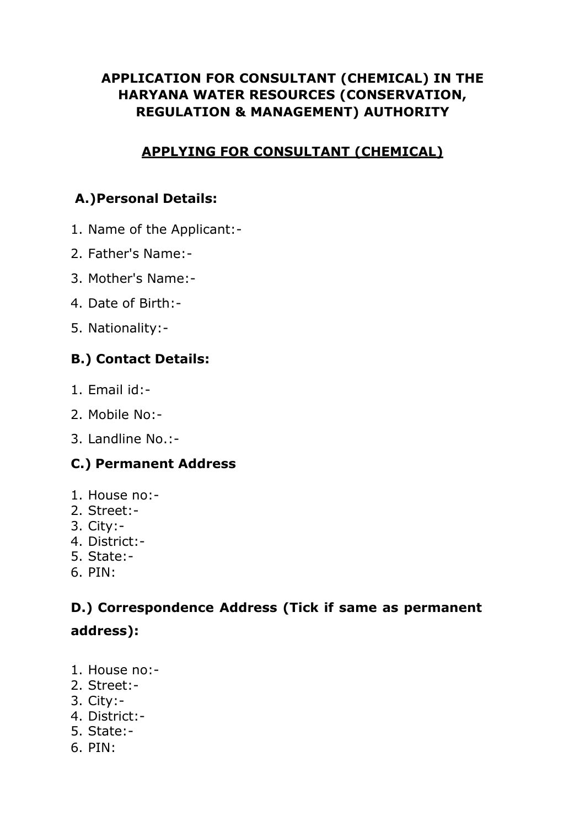## **APPLICATION FOR CONSULTANT (CHEMICAL) IN THE HARYANA WATER RESOURCES (CONSERVATION, REGULATION & MANAGEMENT) AUTHORITY**

### **APPLYING FOR CONSULTANT (CHEMICAL)**

## **A.)Personal Details:**

- 1. Name of the Applicant:-
- 2. Father's Name:-
- 3. Mother's Name:-
- 4. Date of Birth:-
- 5. Nationality:-

# **B.) Contact Details:**

- 1. Email id:-
- 2. Mobile No:-
- 3. Landline No.:-

# **C.) Permanent Address**

- 1. House no:-
- 2. Street:-
- 3. City:-
- 4. District:-
- 5. State:-
- 6. PIN:

# **D.) Correspondence Address (Tick if same as permanent address):**

- 1. House no:-
- 2. Street:-
- 3. City:-
- 4. District:-
- 5. State:-
- 6. PIN: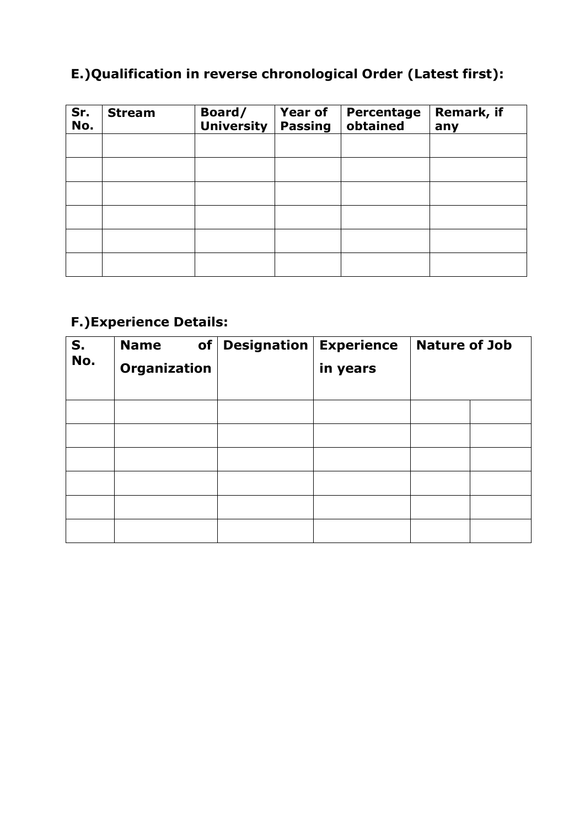# **E.)Qualification in reverse chronological Order (Latest first):**

| Sr.<br>No. | <b>Stream</b> | Board/<br><b>University</b> | <b>Year of</b><br><b>Passing</b> | Percentage<br>obtained | Remark, if<br>any |
|------------|---------------|-----------------------------|----------------------------------|------------------------|-------------------|
|            |               |                             |                                  |                        |                   |
|            |               |                             |                                  |                        |                   |
|            |               |                             |                                  |                        |                   |
|            |               |                             |                                  |                        |                   |
|            |               |                             |                                  |                        |                   |
|            |               |                             |                                  |                        |                   |

# **F.)Experience Details:**

| S.<br>No. | <b>Name</b><br>of<br>Organization | <b>Designation</b> | <b>Experience</b><br>in years | <b>Nature of Job</b> |
|-----------|-----------------------------------|--------------------|-------------------------------|----------------------|
|           |                                   |                    |                               |                      |
|           |                                   |                    |                               |                      |
|           |                                   |                    |                               |                      |
|           |                                   |                    |                               |                      |
|           |                                   |                    |                               |                      |
|           |                                   |                    |                               |                      |